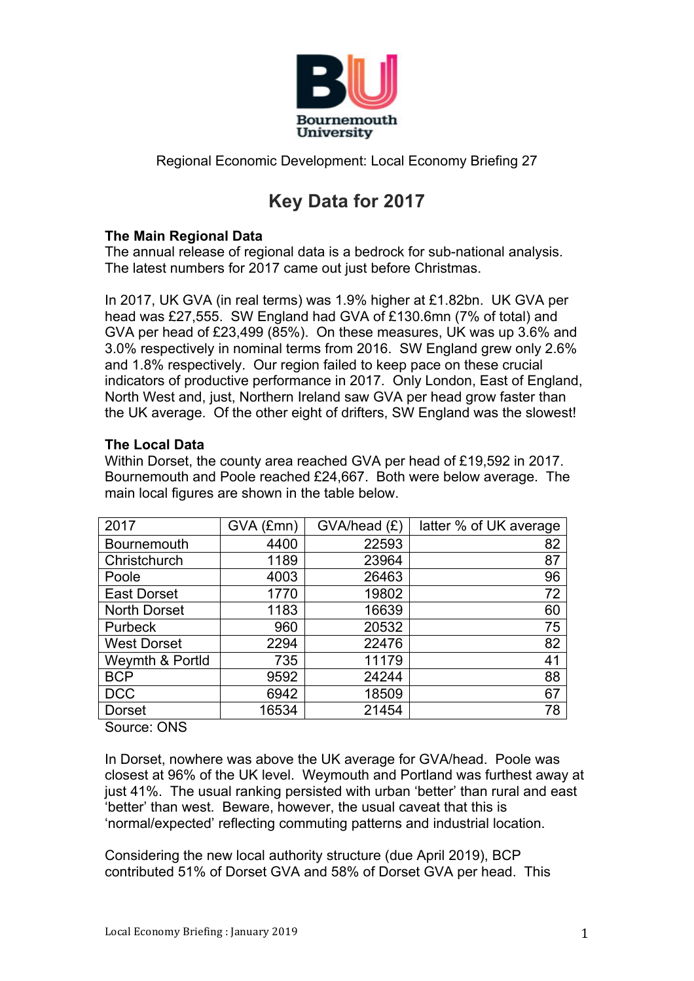

Regional Economic Development: Local Economy Briefing 27

# **Key Data for 2017**

## **The Main Regional Data**

The annual release of regional data is a bedrock for sub-national analysis. The latest numbers for 2017 came out just before Christmas.

In 2017, UK GVA (in real terms) was 1.9% higher at £1.82bn. UK GVA per head was £27,555. SW England had GVA of £130.6mn (7% of total) and GVA per head of £23,499 (85%). On these measures, UK was up 3.6% and 3.0% respectively in nominal terms from 2016. SW England grew only 2.6% and 1.8% respectively. Our region failed to keep pace on these crucial indicators of productive performance in 2017. Only London, East of England, North West and, just, Northern Ireland saw GVA per head grow faster than the UK average. Of the other eight of drifters, SW England was the slowest!

### **The Local Data**

Within Dorset, the county area reached GVA per head of £19,592 in 2017. Bournemouth and Poole reached £24,667. Both were below average. The main local figures are shown in the table below.

| 2017                | GVA (£mn) | GVA/head (£) | latter % of UK average |
|---------------------|-----------|--------------|------------------------|
| Bournemouth         | 4400      | 22593        | 82                     |
| Christchurch        | 1189      | 23964        | 87                     |
| Poole               | 4003      | 26463        | 96                     |
| <b>East Dorset</b>  | 1770      | 19802        | 72                     |
| <b>North Dorset</b> | 1183      | 16639        | 60                     |
| Purbeck             | 960       | 20532        | 75                     |
| <b>West Dorset</b>  | 2294      | 22476        | 82                     |
| Weymth & Portld     | 735       | 11179        | 41                     |
| <b>BCP</b>          | 9592      | 24244        | 88                     |
| <b>DCC</b>          | 6942      | 18509        | 67                     |
| <b>Dorset</b>       | 16534     | 21454        | 78                     |

Source: ONS

In Dorset, nowhere was above the UK average for GVA/head. Poole was closest at 96% of the UK level. Weymouth and Portland was furthest away at just 41%. The usual ranking persisted with urban 'better' than rural and east 'better' than west. Beware, however, the usual caveat that this is 'normal/expected' reflecting commuting patterns and industrial location.

Considering the new local authority structure (due April 2019), BCP contributed 51% of Dorset GVA and 58% of Dorset GVA per head. This